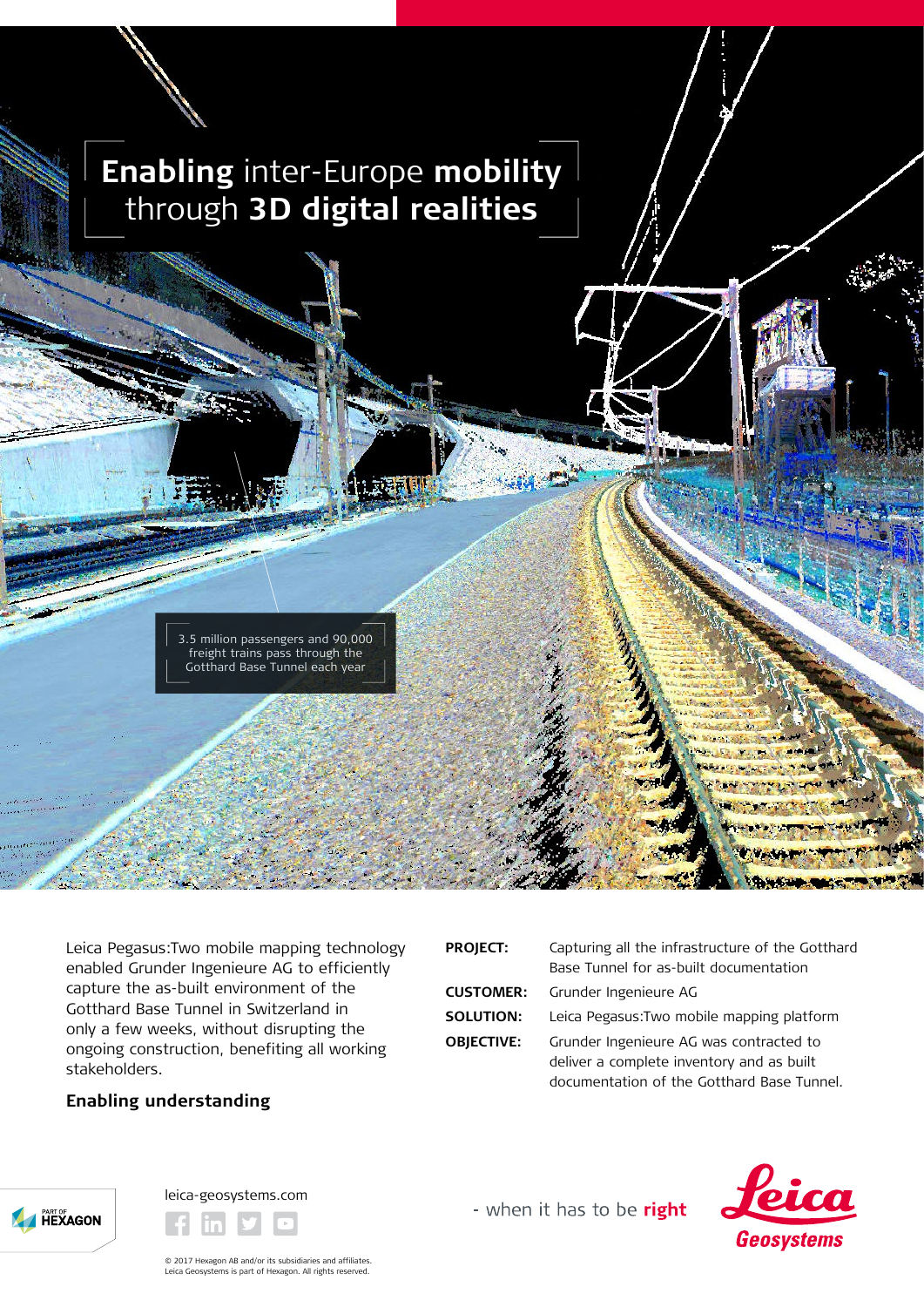

Leica Pegasus:Two mobile mapping technology enabled Grunder Ingenieure AG to efficiently capture the as-built environment of the Gotthard Base Tunnel in Switzerland in only a few weeks, without disrupting the ongoing construction, benefiting all working stakeholders.

## **Enabling understanding**

| <b>PROJECT:</b>   | Capturing all the infrastructure of the Gotthard                                                                                   |
|-------------------|------------------------------------------------------------------------------------------------------------------------------------|
|                   | Base Tunnel for as-built documentation                                                                                             |
| <b>CUSTOMER:</b>  | Grunder Ingenieure AG                                                                                                              |
| SOLUTION:         | Leica Pegasus: Two mobile mapping platform                                                                                         |
| <b>OBJECTIVE:</b> | Grunder Ingenieure AG was contracted to<br>deliver a complete inventory and as built<br>documentation of the Gotthard Base Tunnel. |





- when it has to be right



© 2017 Hexagon AB and/or its subsidiaries and affiliates. Leica Geosystems is part of Hexagon. All rights reserved.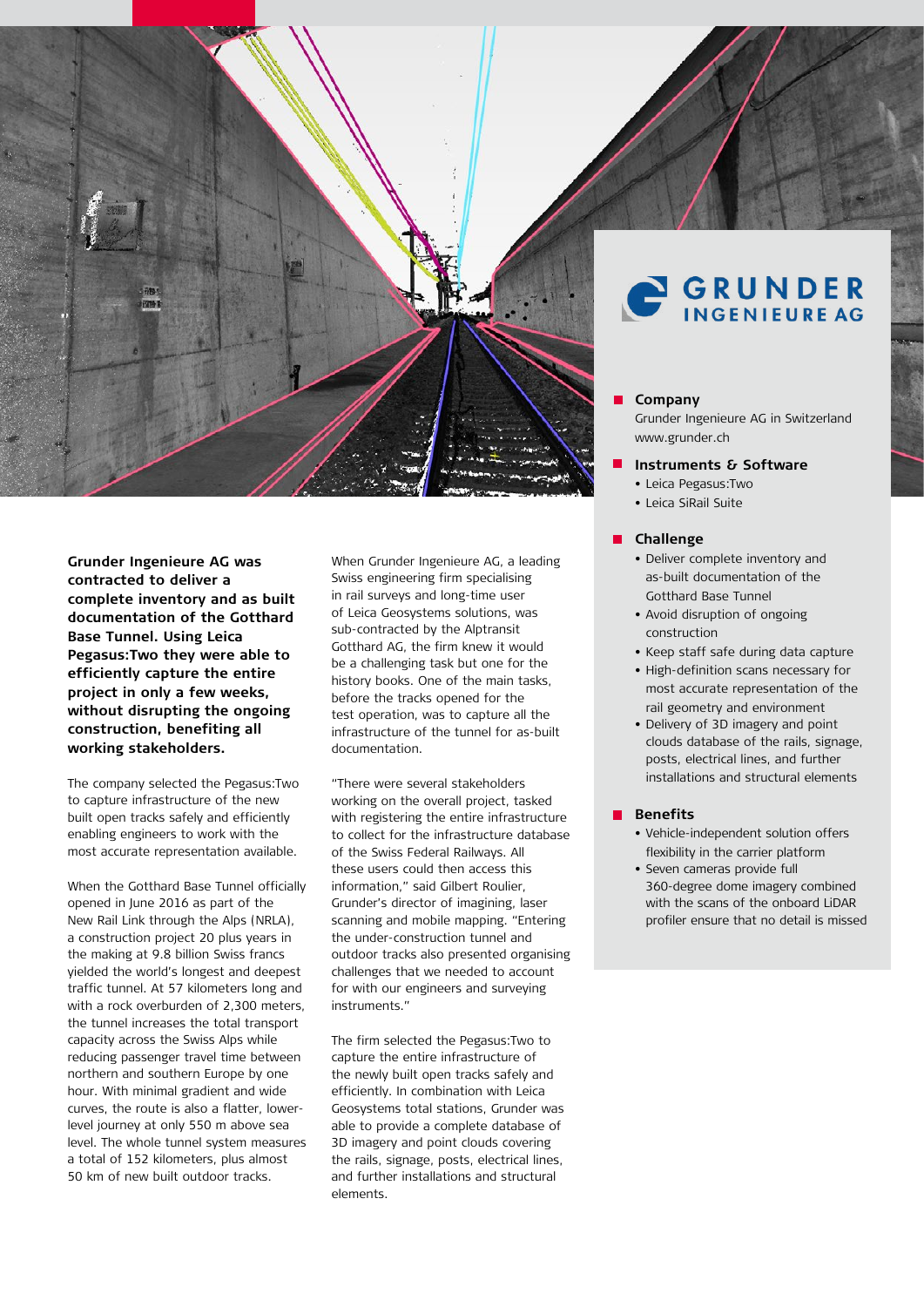

**Grunder Ingenieure AG was contracted to deliver a complete inventory and as built documentation of the Gotthard Base Tunnel. Using Leica Pegasus:Two they were able to efficiently capture the entire project in only a few weeks, without disrupting the ongoing construction, benefiting all working stakeholders.** 

The company selected the Pegasus:Two to capture infrastructure of the new built open tracks safely and efficiently enabling engineers to work with the most accurate representation available.

When the Gotthard Base Tunnel officially opened in June 2016 as part of the New Rail Link through the Alps (NRLA), a construction project 20 plus years in the making at 9.8 billion Swiss francs yielded the world's longest and deepest traffic tunnel. At 57 kilometers long and with a rock overburden of 2,300 meters, the tunnel increases the total transport capacity across the Swiss Alps while reducing passenger travel time between northern and southern Europe by one hour. With minimal gradient and wide curves, the route is also a flatter, lowerlevel journey at only 550 m above sea level. The whole tunnel system measures a total of 152 kilometers, plus almost 50 km of new built outdoor tracks.

When Grunder Ingenieure AG, a leading Swiss engineering firm specialising in rail surveys and long-time user of Leica Geosystems solutions, was sub-contracted by the Alptransit Gotthard AG, the firm knew it would be a challenging task but one for the history books. One of the main tasks, before the tracks opened for the test operation, was to capture all the infrastructure of the tunnel for as-built documentation.

"There were several stakeholders working on the overall project, tasked with registering the entire infrastructure to collect for the infrastructure database of the Swiss Federal Railways. All these users could then access this information," said Gilbert Roulier, Grunder's director of imagining, laser scanning and mobile mapping. "Entering the under-construction tunnel and outdoor tracks also presented organising challenges that we needed to account for with our engineers and surveying instruments."

The firm selected the Pegasus:Two to capture the entire infrastructure of the newly built open tracks safely and efficiently. In combination with Leica Geosystems total stations, Grunder was able to provide a complete database of 3D imagery and point clouds covering the rails, signage, posts, electrical lines, and further installations and structural elements.

# **GRUNDER**

### **Company**

Grunder Ingenieure AG in Switzerland www.grunder.ch

- **Instruments & Software**
	- Leica Pegasus:Two
	- Leica SiRail Suite

#### **Challenge**

- Deliver complete inventory and as-built documentation of the Gotthard Base Tunnel
- Avoid disruption of ongoing construction
- Keep staff safe during data capture
- High-definition scans necessary for most accurate representation of the rail geometry and environment
- Delivery of 3D imagery and point clouds database of the rails, signage, posts, electrical lines, and further installations and structural elements

## **Benefits**

- Vehicle-independent solution offers flexibility in the carrier platform
- Seven cameras provide full 360-degree dome imagery combined with the scans of the onboard LiDAR profiler ensure that no detail is missed